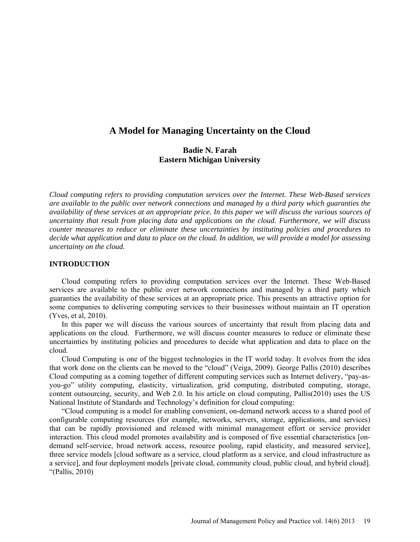# **A Model for Managing Uncertainty on the Cloud**

# **Badie N. Farah Eastern Michigan University**

*Cloud computing refers to providing computation services over the Internet. These Web-Based services are available to the public over network connections and managed by a third party which guaranties the availability of these services at an appropriate price. In this paper we will discuss the various sources of uncertainty that result from placing data and applications on the cloud. Furthermore, we will discuss counter measures to reduce or eliminate these uncertainties by instituting policies and procedures to decide what application and data to place on the cloud. In addition, we will provide a model for assessing uncertainty on the cloud.*

### **INTRODUCTION**

Cloud computing refers to providing computation services over the Internet. These Web-Based services are available to the public over network connections and managed by a third party which guaranties the availability of these services at an appropriate price. This presents an attractive option for some companies to delivering computing services to their businesses without maintain an IT operation (Yves, et al, 2010).

In this paper we will discuss the various sources of uncertainty that result from placing data and applications on the cloud. Furthermore, we will discuss counter measures to reduce or eliminate these uncertainties by instituting policies and procedures to decide what application and data to place on the cloud.

Cloud Computing is one of the biggest technologies in the IT world today. It evolves from the idea that work done on the clients can be moved to the "cloud" (Veiga, 2009). George Pallis (2010) describes Cloud computing as a coming together of different computing services such as Internet delivery, "pay-asyou-go" utility computing, elasticity, virtualization, grid computing, distributed computing, storage, content outsourcing, security, and Web 2.0. In his article on cloud computing, Pallis(2010) uses the US National Institute of Standards and Technology's definition for cloud computing:

"Cloud computing is a model for enabling convenient, on-demand network access to a shared pool of configurable computing resources (for example, networks, servers, storage, applications, and services) that can be rapidly provisioned and released with minimal management effort or service provider interaction. This cloud model promotes availability and is composed of five essential characteristics [ondemand self-service, broad network access, resource pooling, rapid elasticity, and measured service], three service models [cloud software as a service, cloud platform as a service, and cloud infrastructure as a service], and four deployment models [private cloud, community cloud, public cloud, and hybrid cloud]. "(Pallis, 2010)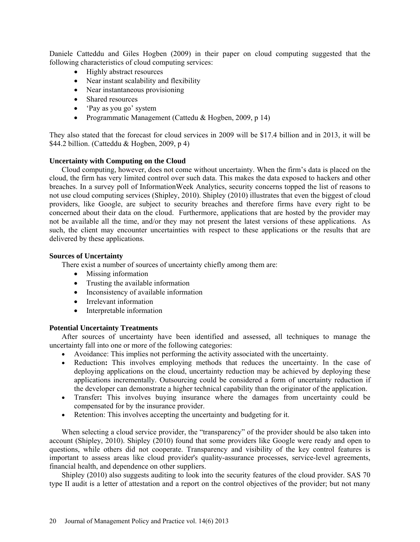Daniele Catteddu and Giles Hogben (2009) in their paper on cloud computing suggested that the following characteristics of cloud computing services:

- Highly abstract resources
- Near instant scalability and flexibility
- Near instantaneous provisioning
- Shared resources
- 'Pay as you go' system
- Programmatic Management (Cattedu & Hogben, 2009, p 14)

They also stated that the forecast for cloud services in 2009 will be \$17.4 billion and in 2013, it will be \$44.2 billion. (Catteddu & Hogben, 2009, p 4)

# **Uncertainty with Computing on the Cloud**

Cloud computing, however, does not come without uncertainty. When the firm's data is placed on the cloud, the firm has very limited control over such data. This makes the data exposed to hackers and other breaches. In a survey poll of InformationWeek Analytics, security concerns topped the list of reasons to not use cloud computing services (Shipley, 2010). Shipley (2010) illustrates that even the biggest of cloud providers, like Google, are subject to security breaches and therefore firms have every right to be concerned about their data on the cloud. Furthermore, applications that are hosted by the provider may not be available all the time, and/or they may not present the latest versions of these applications. As such, the client may encounter uncertainties with respect to these applications or the results that are delivered by these applications.

### **Sources of Uncertainty**

There exist a number of sources of uncertainty chiefly among them are:

- Missing information
- Trusting the available information
- Inconsistency of available information
- Irrelevant information
- Interpretable information

# **Potential Uncertainty Treatments**

After sources of uncertainty have been identified and assessed, all techniques to manage the uncertainty fall into one or more of the following categories:

- Avoidance: This implies not performing the activity associated with the uncertainty.
- Reduction**:** This involves employing methods that reduces the uncertainty. In the case of deploying applications on the cloud, uncertainty reduction may be achieved by deploying these applications incrementally. Outsourcing could be considered a form of uncertainty reduction if the developer can demonstrate a higher technical capability than the originator of the application.
- Transfer**:** This involves buying insurance where the damages from uncertainty could be compensated for by the insurance provider.
- Retention: This involves accepting the uncertainty and budgeting for it.

When selecting a cloud service provider, the "transparency" of the provider should be also taken into account (Shipley, 2010). Shipley (2010) found that some providers like Google were ready and open to questions, while others did not cooperate. Transparency and visibility of the key control features is important to assess areas like cloud provider's quality-assurance processes, service-level agreements, financial health, and dependence on other suppliers.

Shipley (2010) also suggests auditing to look into the security features of the cloud provider. SAS 70 type II audit is a letter of attestation and a report on the control objectives of the provider; but not many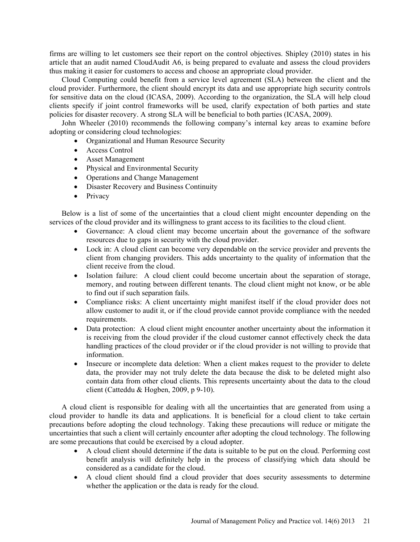firms are willing to let customers see their report on the control objectives. Shipley (2010) states in his article that an audit named CloudAudit A6, is being prepared to evaluate and assess the cloud providers thus making it easier for customers to access and choose an appropriate cloud provider.

Cloud Computing could benefit from a service level agreement (SLA) between the client and the cloud provider. Furthermore, the client should encrypt its data and use appropriate high security controls for sensitive data on the cloud (ICASA, 2009). According to the organization, the SLA will help cloud clients specify if joint control frameworks will be used, clarify expectation of both parties and state policies for disaster recovery. A strong SLA will be beneficial to both parties (ICASA, 2009).

John Wheeler (2010) recommends the following company's internal key areas to examine before adopting or considering cloud technologies:

- Organizational and Human Resource Security
- Access Control
- Asset Management
- Physical and Environmental Security
- Operations and Change Management
- Disaster Recovery and Business Continuity
- Privacy

Below is a list of some of the uncertainties that a cloud client might encounter depending on the services of the cloud provider and its willingness to grant access to its facilities to the cloud client.

- Governance: A cloud client may become uncertain about the governance of the software resources due to gaps in security with the cloud provider.
- Lock in: A cloud client can become very dependable on the service provider and prevents the client from changing providers. This adds uncertainty to the quality of information that the client receive from the cloud.
- Isolation failure: A cloud client could become uncertain about the separation of storage, memory, and routing between different tenants. The cloud client might not know, or be able to find out if such separation fails.
- Compliance risks: A client uncertainty might manifest itself if the cloud provider does not allow customer to audit it, or if the cloud provide cannot provide compliance with the needed requirements.
- Data protection: A cloud client might encounter another uncertainty about the information it is receiving from the cloud provider if the cloud customer cannot effectively check the data handling practices of the cloud provider or if the cloud provider is not willing to provide that information.
- Insecure or incomplete data deletion: When a client makes request to the provider to delete data, the provider may not truly delete the data because the disk to be deleted might also contain data from other cloud clients. This represents uncertainty about the data to the cloud client (Catteddu & Hogben, 2009, p 9-10).

A cloud client is responsible for dealing with all the uncertainties that are generated from using a cloud provider to handle its data and applications. It is beneficial for a cloud client to take certain precautions before adopting the cloud technology. Taking these precautions will reduce or mitigate the uncertainties that such a client will certainly encounter after adopting the cloud technology. The following are some precautions that could be exercised by a cloud adopter.

- A cloud client should determine if the data is suitable to be put on the cloud. Performing cost benefit analysis will definitely help in the process of classifying which data should be considered as a candidate for the cloud.
- A cloud client should find a cloud provider that does security assessments to determine whether the application or the data is ready for the cloud.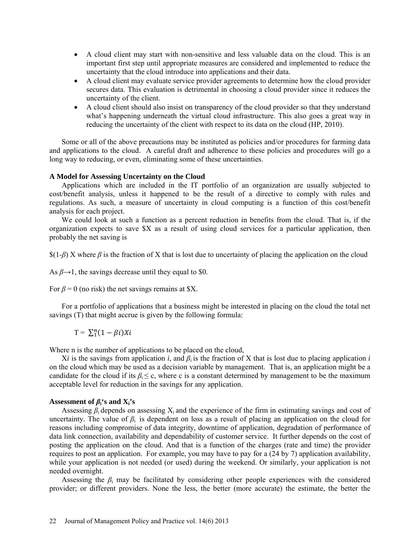- A cloud client may start with non-sensitive and less valuable data on the cloud. This is an important first step until appropriate measures are considered and implemented to reduce the uncertainty that the cloud introduce into applications and their data.
- A cloud client may evaluate service provider agreements to determine how the cloud provider secures data. This evaluation is detrimental in choosing a cloud provider since it reduces the uncertainty of the client.
- A cloud client should also insist on transparency of the cloud provider so that they understand what's happening underneath the virtual cloud infrastructure. This also goes a great way in reducing the uncertainty of the client with respect to its data on the cloud (HP, 2010).

Some or all of the above precautions may be instituted as policies and/or procedures for farming data and applications to the cloud. A careful draft and adherence to these policies and procedures will go a long way to reducing, or even, eliminating some of these uncertainties.

#### **A Model for Assessing Uncertainty on the Cloud**

Applications which are included in the IT portfolio of an organization are usually subjected to cost/benefit analysis, unless it happened to be the result of a directive to comply with rules and regulations. As such, a measure of uncertainty in cloud computing is a function of this cost/benefit analysis for each project.

We could look at such a function as a percent reduction in benefits from the cloud. That is, if the organization expects to save \$X as a result of using cloud services for a particular application, then probably the net saving is

\$(1-*β*) X where *β* is the fraction of X that is lost due to uncertainty of placing the application on the cloud

As  $\beta \rightarrow 1$ , the savings decrease until they equal to \$0.

For  $\beta$  = 0 (no risk) the net savings remains at \$X.

For a portfolio of applications that a business might be interested in placing on the cloud the total net savings (T) that might accrue is given by the following formula:

 $T = \sum_{i=1}^{n} (1 - \beta i) X_i$ 

Where n is the number of applications to be placed on the cloud,

 $Xi$ *i* is the savings from application *i*, and  $\beta_i$  is the fraction of X that is lost due to placing application *i* on the cloud which may be used as a decision variable by management. That is, an application might be a candidate for the cloud if its  $\beta_i \leq c$ , where c is a constant determined by management to be the maximum acceptable level for reduction in the savings for any application.

#### Assessment of  $\beta_i$ <sup>'</sup>s and  $X_i$ 's

Assessing  $\beta_i$  depends on assessing  $X_i$  and the experience of the firm in estimating savings and cost of uncertainty. The value of  $\beta_i$  is dependent on loss as a result of placing an application on the cloud for reasons including compromise of data integrity, downtime of application, degradation of performance of data link connection, availability and dependability of customer service. It further depends on the cost of posting the application on the cloud. And that is a function of the charges (rate and time) the provider requires to post an application. For example, you may have to pay for a (24 by 7) application availability, while your application is not needed (or used) during the weekend. Or similarly, your application is not needed overnight.

Assessing the  $\beta_i$  may be facilitated by considering other people experiences with the considered provider; or different providers. None the less, the better (more accurate) the estimate, the better the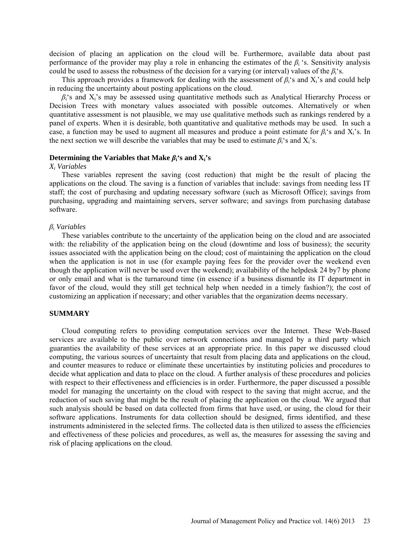decision of placing an application on the cloud will be. Furthermore, available data about past performance of the provider may play a role in enhancing the estimates of the  $\beta_i$  's. Sensitivity analysis could be used to assess the robustness of the decision for a varying (or interval) values of the  $\beta_i$ 's.

This approach provides a framework for dealing with the assessment of *β*i's and Xi's and could help in reducing the uncertainty about posting applications on the cloud.

 $\beta_i$ 's and  $X_i$ 's may be assessed using quantitative methods such as Analytical Hierarchy Process or Decision Trees with monetary values associated with possible outcomes. Alternatively or when quantitative assessment is not plausible, we may use qualitative methods such as rankings rendered by a panel of experts. When it is desirable, both quantitative and qualitative methods may be used. In such a case, a function may be used to augment all measures and produce a point estimate for *β*i's and Xi's. In the next section we will describe the variables that may be used to estimate  $\beta_i$ 's and X<sub>i</sub>'s.

# **Determining the Variables that Make**  $\beta_i$ **'s and**  $X_i$ **'s**

#### *Xi Variables*

These variables represent the saving (cost reduction) that might be the result of placing the applications on the cloud. The saving is a function of variables that include: savings from needing less IT staff; the cost of purchasing and updating necessary software (such as Microsoft Office); savings from purchasing, upgrading and maintaining servers, server software; and savings from purchasing database software.

#### *β*<sup>i</sup> *Variables*

These variables contribute to the uncertainty of the application being on the cloud and are associated with: the reliability of the application being on the cloud (downtime and loss of business); the security issues associated with the application being on the cloud; cost of maintaining the application on the cloud when the application is not in use (for example paying fees for the provider over the weekend even though the application will never be used over the weekend); availability of the helpdesk 24 by7 by phone or only email and what is the turnaround time (in essence if a business dismantle its IT department in favor of the cloud, would they still get technical help when needed in a timely fashion?); the cost of customizing an application if necessary; and other variables that the organization deems necessary.

### **SUMMARY**

Cloud computing refers to providing computation services over the Internet. These Web-Based services are available to the public over network connections and managed by a third party which guaranties the availability of these services at an appropriate price. In this paper we discussed cloud computing, the various sources of uncertainty that result from placing data and applications on the cloud, and counter measures to reduce or eliminate these uncertainties by instituting policies and procedures to decide what application and data to place on the cloud. A further analysis of these procedures and policies with respect to their effectiveness and efficiencies is in order. Furthermore, the paper discussed a possible model for managing the uncertainty on the cloud with respect to the saving that might accrue, and the reduction of such saving that might be the result of placing the application on the cloud. We argued that such analysis should be based on data collected from firms that have used, or using, the cloud for their software applications. Instruments for data collection should be designed, firms identified, and these instruments administered in the selected firms. The collected data is then utilized to assess the efficiencies and effectiveness of these policies and procedures, as well as, the measures for assessing the saving and risk of placing applications on the cloud.